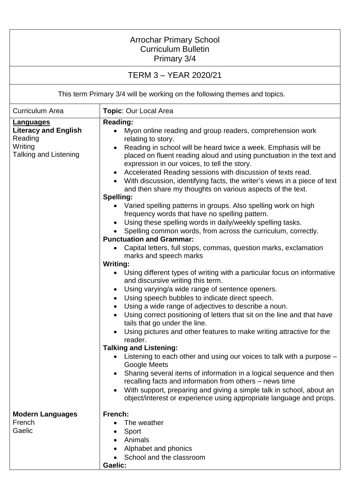| <b>Arrochar Primary School</b><br><b>Curriculum Bulletin</b><br>Primary 3/4             |                                                                                                                                                                                                                                                                                                                                                                                                                                                                                                                                                                                                                                                                                                                                                                                                                                                                                                                                                                                                                                                                                                                                                                                                                                                                                                                                                                                                                                                                                                                                                |  |  |
|-----------------------------------------------------------------------------------------|------------------------------------------------------------------------------------------------------------------------------------------------------------------------------------------------------------------------------------------------------------------------------------------------------------------------------------------------------------------------------------------------------------------------------------------------------------------------------------------------------------------------------------------------------------------------------------------------------------------------------------------------------------------------------------------------------------------------------------------------------------------------------------------------------------------------------------------------------------------------------------------------------------------------------------------------------------------------------------------------------------------------------------------------------------------------------------------------------------------------------------------------------------------------------------------------------------------------------------------------------------------------------------------------------------------------------------------------------------------------------------------------------------------------------------------------------------------------------------------------------------------------------------------------|--|--|
| TERM 3 - YEAR 2020/21                                                                   |                                                                                                                                                                                                                                                                                                                                                                                                                                                                                                                                                                                                                                                                                                                                                                                                                                                                                                                                                                                                                                                                                                                                                                                                                                                                                                                                                                                                                                                                                                                                                |  |  |
| This term Primary 3/4 will be working on the following themes and topics.               |                                                                                                                                                                                                                                                                                                                                                                                                                                                                                                                                                                                                                                                                                                                                                                                                                                                                                                                                                                                                                                                                                                                                                                                                                                                                                                                                                                                                                                                                                                                                                |  |  |
| <b>Curriculum Area</b>                                                                  | Topic: Our Local Area                                                                                                                                                                                                                                                                                                                                                                                                                                                                                                                                                                                                                                                                                                                                                                                                                                                                                                                                                                                                                                                                                                                                                                                                                                                                                                                                                                                                                                                                                                                          |  |  |
| Languages<br><b>Literacy and English</b><br>Reading<br>Writing<br>Talking and Listening | <b>Reading:</b><br>Myon online reading and group readers, comprehension work<br>relating to story.<br>Reading in school will be heard twice a week. Emphasis will be<br>$\bullet$<br>placed on fluent reading aloud and using punctuation in the text and<br>expression in our voices, to tell the story.<br>Accelerated Reading sessions with discussion of texts read.<br>With discussion, identifying facts, the writer's views in a piece of text<br>and then share my thoughts on various aspects of the text.<br>Spelling:<br>Varied spelling patterns in groups. Also spelling work on high<br>frequency words that have no spelling pattern.<br>Using these spelling words in daily/weekly spelling tasks.<br>Spelling common words, from across the curriculum, correctly.<br><b>Punctuation and Grammar:</b><br>Capital letters, full stops, commas, question marks, exclamation<br>marks and speech marks<br><b>Writing:</b><br>Using different types of writing with a particular focus on informative<br>and discursive writing this term.<br>Using varying/a wide range of sentence openers.<br>Using speech bubbles to indicate direct speech.<br>Using a wide range of adjectives to describe a noun.<br>Using correct positioning of letters that sit on the line and that have<br>tails that go under the line.<br>Using pictures and other features to make writing attractive for the<br>reader.<br><b>Talking and Listening:</b><br>Listening to each other and using our voices to talk with a purpose -<br>Google Meets |  |  |
|                                                                                         | Sharing several items of information in a logical sequence and then<br>recalling facts and information from others – news time<br>With support, preparing and giving a simple talk in school, about an<br>object/interest or experience using appropriate language and props.                                                                                                                                                                                                                                                                                                                                                                                                                                                                                                                                                                                                                                                                                                                                                                                                                                                                                                                                                                                                                                                                                                                                                                                                                                                                  |  |  |
| <b>Modern Languages</b><br>French<br>Gaelic                                             | French:<br>The weather<br>Sport<br>Animals<br>Alphabet and phonics<br>School and the classroom<br>Gaelic:                                                                                                                                                                                                                                                                                                                                                                                                                                                                                                                                                                                                                                                                                                                                                                                                                                                                                                                                                                                                                                                                                                                                                                                                                                                                                                                                                                                                                                      |  |  |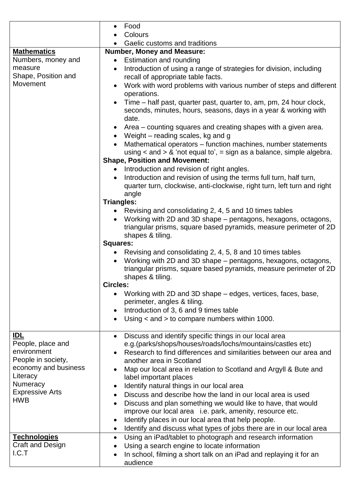|                        | Food                                                                                                                 |
|------------------------|----------------------------------------------------------------------------------------------------------------------|
|                        | Colours                                                                                                              |
|                        | Gaelic customs and traditions                                                                                        |
| <b>Mathematics</b>     | <b>Number, Money and Measure:</b>                                                                                    |
| Numbers, money and     | <b>Estimation and rounding</b><br>$\bullet$                                                                          |
| measure                | Introduction of using a range of strategies for division, including<br>$\bullet$                                     |
| Shape, Position and    | recall of appropriate table facts.                                                                                   |
| Movement               | Work with word problems with various number of steps and different                                                   |
|                        | operations.                                                                                                          |
|                        | Time – half past, quarter past, quarter to, am, pm, 24 hour clock,                                                   |
|                        | seconds, minutes, hours, seasons, days in a year & working with                                                      |
|                        | date.                                                                                                                |
|                        | Area – counting squares and creating shapes with a given area.                                                       |
|                        | Weight – reading scales, kg and g<br>$\bullet$                                                                       |
|                        | Mathematical operators - function machines, number statements                                                        |
|                        | using $\lt$ and $\gt$ & 'not equal to', = sign as a balance, simple algebra.<br><b>Shape, Position and Movement:</b> |
|                        | Introduction and revision of right angles.<br>$\bullet$                                                              |
|                        | Introduction and revision of using the terms full turn, half turn,                                                   |
|                        | quarter turn, clockwise, anti-clockwise, right turn, left turn and right                                             |
|                        | angle                                                                                                                |
|                        | <b>Triangles:</b>                                                                                                    |
|                        | • Revising and consolidating 2, 4, 5 and 10 times tables                                                             |
|                        | Working with 2D and 3D shape – pentagons, hexagons, octagons,                                                        |
|                        | triangular prisms, square based pyramids, measure perimeter of 2D                                                    |
|                        | shapes & tiling.                                                                                                     |
|                        | <b>Squares:</b>                                                                                                      |
|                        | Revising and consolidating 2, 4, 5, 8 and 10 times tables<br>$\bullet$                                               |
|                        | Working with 2D and 3D shape – pentagons, hexagons, octagons,                                                        |
|                        | triangular prisms, square based pyramids, measure perimeter of 2D                                                    |
|                        | shapes & tiling.                                                                                                     |
|                        | <b>Circles:</b>                                                                                                      |
|                        | Working with 2D and 3D shape – edges, vertices, faces, base,                                                         |
|                        | perimeter, angles & tiling.                                                                                          |
|                        | Introduction of 3, 6 and 9 times table                                                                               |
|                        | Using $\lt$ and $>$ to compare numbers within 1000.<br>$\bullet$                                                     |
| <u>IDL</u>             | Discuss and identify specific things in our local area<br>$\bullet$                                                  |
| People, place and      | e.g.(parks/shops/houses/roads/lochs/mountains/castles etc)                                                           |
| environment            | Research to find differences and similarities between our area and                                                   |
| People in society,     | another area in Scotland                                                                                             |
| economy and business   | Map our local area in relation to Scotland and Argyll & Bute and                                                     |
| Literacy               | label important places                                                                                               |
| Numeracy               | Identify natural things in our local area<br>٠                                                                       |
| <b>Expressive Arts</b> | Discuss and describe how the land in our local area is used                                                          |
| <b>HWB</b>             | Discuss and plan something we would like to have, that would                                                         |
|                        | improve our local area i.e. park, amenity, resource etc.                                                             |
|                        | Identify places in our local area that help people.                                                                  |
|                        | Identify and discuss what types of jobs there are in our local area<br>$\bullet$                                     |
| <b>Technologies</b>    | Using an iPad/tablet to photograph and research information<br>$\bullet$                                             |
| Craft and Design       | Using a search engine to locate information                                                                          |
| I.C.T                  | In school, filming a short talk on an iPad and replaying it for an                                                   |
|                        | audience                                                                                                             |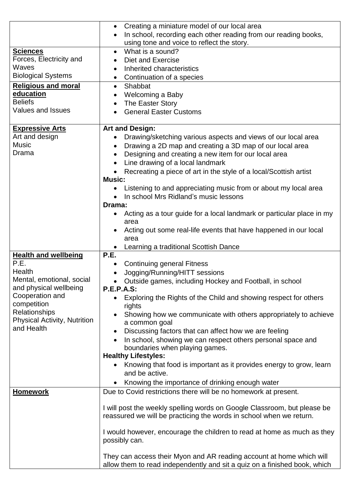|                                     | Creating a miniature model of our local area<br>$\bullet$                 |
|-------------------------------------|---------------------------------------------------------------------------|
|                                     | In school, recording each other reading from our reading books,           |
|                                     | using tone and voice to reflect the story.                                |
| <b>Sciences</b>                     | What is a sound?<br>$\bullet$                                             |
| Forces, Electricity and             | Diet and Exercise                                                         |
| Waves                               | Inherited characteristics                                                 |
| <b>Biological Systems</b>           | Continuation of a species                                                 |
| <b>Religious and moral</b>          | Shabbat<br>$\bullet$                                                      |
| education                           | Welcoming a Baby                                                          |
| <b>Beliefs</b>                      | The Easter Story                                                          |
| <b>Values and Issues</b>            | <b>General Easter Customs</b>                                             |
|                                     |                                                                           |
| <b>Expressive Arts</b>              | <b>Art and Design:</b>                                                    |
| Art and design                      | Drawing/sketching various aspects and views of our local area             |
| <b>Music</b>                        | Drawing a 2D map and creating a 3D map of our local area<br>$\bullet$     |
| Drama                               | Designing and creating a new item for our local area<br>$\bullet$         |
|                                     | Line drawing of a local landmark                                          |
|                                     | Recreating a piece of art in the style of a local/Scottish artist         |
|                                     | <b>Music:</b>                                                             |
|                                     | Listening to and appreciating music from or about my local area           |
|                                     | In school Mrs Ridland's music lessons                                     |
|                                     | Drama:                                                                    |
|                                     | Acting as a tour guide for a local landmark or particular place in my     |
|                                     | area                                                                      |
|                                     | Acting out some real-life events that have happened in our local          |
|                                     | area                                                                      |
|                                     | Learning a traditional Scottish Dance                                     |
| <b>Health and wellbeing</b>         | P.E.                                                                      |
| P.E.                                | <b>Continuing general Fitness</b><br>$\bullet$                            |
| Health                              | Jogging/Running/HITT sessions                                             |
| Mental, emotional, social           | Outside games, including Hockey and Football, in school<br>$\bullet$      |
| and physical wellbeing              | <b>P.E.P.A.S:</b>                                                         |
| Cooperation and                     | Exploring the Rights of the Child and showing respect for others          |
| competition<br><b>Relationships</b> | rights                                                                    |
| <b>Physical Activity, Nutrition</b> | Showing how we communicate with others appropriately to achieve           |
| and Health                          | a common goal                                                             |
|                                     | Discussing factors that can affect how we are feeling                     |
|                                     | In school, showing we can respect others personal space and               |
|                                     | boundaries when playing games.                                            |
|                                     | <b>Healthy Lifestyles:</b>                                                |
|                                     | Knowing that food is important as it provides energy to grow, learn       |
|                                     | and be active.                                                            |
|                                     | Knowing the importance of drinking enough water                           |
| <b>Homework</b>                     | Due to Covid restrictions there will be no homework at present.           |
|                                     |                                                                           |
|                                     | I will post the weekly spelling words on Google Classroom, but please be  |
|                                     | reassured we will be practicing the words in school when we return.       |
|                                     | I would however, encourage the children to read at home as much as they   |
|                                     | possibly can.                                                             |
|                                     |                                                                           |
|                                     | They can access their Myon and AR reading account at home which will      |
|                                     | allow them to read independently and sit a quiz on a finished book, which |